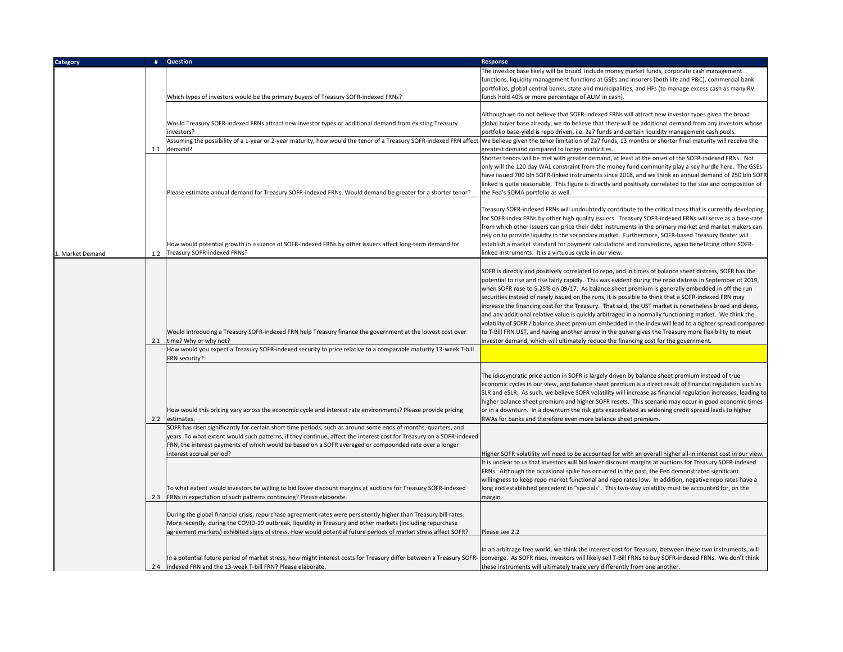| Category        | #   | Question                                                                                                                                                                                                                                                                                                                                                                     | Response                                                                                                                                                                                                                                                                                                                                                                                                                                                                                                                                                                                                                                                                                                                                                                                                                                                                                                                                                         |
|-----------------|-----|------------------------------------------------------------------------------------------------------------------------------------------------------------------------------------------------------------------------------------------------------------------------------------------------------------------------------------------------------------------------------|------------------------------------------------------------------------------------------------------------------------------------------------------------------------------------------------------------------------------------------------------------------------------------------------------------------------------------------------------------------------------------------------------------------------------------------------------------------------------------------------------------------------------------------------------------------------------------------------------------------------------------------------------------------------------------------------------------------------------------------------------------------------------------------------------------------------------------------------------------------------------------------------------------------------------------------------------------------|
|                 |     | Which types of investors would be the primary buyers of Treasury SOFR-indexed FRNs?                                                                                                                                                                                                                                                                                          | The investor base likely will be broad include money market funds, corporate cash management<br>functions, liquidity management functions at GSEs and insurers (both life and P&C), commercial bank<br>portfolios, global central banks, state and municipalities, and HFs (to manage excess cash as many RV<br>funds hold 40% or more percentage of AUM in cash).                                                                                                                                                                                                                                                                                                                                                                                                                                                                                                                                                                                               |
|                 |     | Would Treasury SOFR-indexed FRNs attract new investor types or additional demand from existing Treasury<br>nvestors?                                                                                                                                                                                                                                                         | Although we do not believe that SOFR-indexed FRNs will attract new investor types given the broad<br>global buyer base already, we do believe that there will be additional demand from any investors whose<br>portfolio base-yield is repo driven, i.e. 2a7 funds and certain liquidity management cash pools.                                                                                                                                                                                                                                                                                                                                                                                                                                                                                                                                                                                                                                                  |
|                 | 1.1 | Assuming the possibility of a 1-year or 2-year maturity, how would the tenor of a Treasury SOFR-indexed FRN affect<br>demand?                                                                                                                                                                                                                                                | We believe given the tenor limitation of 2a7 funds, 13 months or shorter final maturity will receive the<br>greatest demand compared to longer maturities.                                                                                                                                                                                                                                                                                                                                                                                                                                                                                                                                                                                                                                                                                                                                                                                                       |
|                 |     | Please estimate annual demand for Treasury SOFR-indexed FRNs. Would demand be greater for a shorter tenor?                                                                                                                                                                                                                                                                   | Shorter tenors will be met with greater demand, at least at the onset of the SOFR-indexed FRNs. Not<br>only will the 120 day WAL constraint from the money fund community play a key hurdle here. The GSEs<br>have issued 700 bln SOFR-linked instruments since 2018, and we think an annual demand of 250 bln SOFF<br>linked is quite reasonable. This figure is directly and positively correlated to the size and composition of<br>the Fed's SOMA portfolio as well.                                                                                                                                                                                                                                                                                                                                                                                                                                                                                         |
| . Market Demand | 1.2 | How would potential growth in issuance of SOFR-indexed FRNs by other issuers affect long-term demand for<br>Treasury SOFR-indexed FRNs?                                                                                                                                                                                                                                      | Treasury SOFR-indexed FRNs will undoubtedly contribute to the critical mass that is currently developing<br>for SOFR-index FRNs by other high quality issuers. Treasury SOFR-indexed FRNs will serve as a base-rate<br>from which other issuers can price their debt instruments in the primary market and market makers can<br>rely on to provide liquidty in the secondary market. Furthermore, SOFR-based Treasury floater will<br>establish a market standard for payment calculations and conventions, again benefitting other SOFR-<br>linked instruments. It is a virtuous cycle in our view.                                                                                                                                                                                                                                                                                                                                                             |
|                 | 2.1 | Would introducing a Treasury SOFR-indexed FRN help Treasury finance the government at the lowest cost over<br>time? Why or why not?                                                                                                                                                                                                                                          | SOFR is directly and positively correlated to repo, and in times of balance sheet distress, SOFR has the<br>potential to rise and rise fairly rapidly. This was evident during the repo distress in September of 2019,<br>when SOFR rose to 5.25% on 09/17. As balance sheet premium is generally embedded in off the run<br>securities instead of newly issued on the runs, it is possible to think that a SOFR-indexed FRN may<br>increase the financing cost for the Treasury. That said, the UST market is nonetheless broad and deep,<br>and any additional relative value is quickly arbitraged in a normally functioning market. We think the<br>volatility of SOFR / balance sheet premium embedded in the index will lead to a tighter spread compared<br>to T-Bill FRN UST, and having another arrow in the quiver gives the Treasury more flexibility to meet<br>investor demand, which will ultimately reduce the financing cost for the government. |
|                 |     | How would you expect a Treasury SOFR-indexed security to price relative to a comparable maturity 13-week T-bill<br>FRN security?                                                                                                                                                                                                                                             |                                                                                                                                                                                                                                                                                                                                                                                                                                                                                                                                                                                                                                                                                                                                                                                                                                                                                                                                                                  |
|                 | 2.2 | How would this pricing vary across the economic cycle and interest rate environments? Please provide pricing<br>estimates.                                                                                                                                                                                                                                                   | The idiosyncratic price action in SOFR is largely driven by balance sheet premium instead of true<br>economic cycles in our view, and balance sheet premium is a direct result of financial regulation such as<br>SLR and eSLR. As such, we believe SOFR volatility will increase as financial regulation increases, leading to<br>higher balance sheet premium and higher SOFR resets. This scenario may occur in good economic times<br>or in a downturn. In a downturn the risk gets exacerbated as widening credit spread leads to higher<br>RWAs for banks and therefore even more balance sheet premium.                                                                                                                                                                                                                                                                                                                                                   |
|                 |     | SOFR has risen significantly for certain short time periods, such as around some ends of months, quarters, and<br>years. To what extent would such patterns, if they continue, affect the interest cost for Treasury on a SOFR-indexed<br>FRN, the interest payments of which would be based on a SOFR averaged or compounded rate over a longer<br>interest accrual period? | Higher SOFR volatility will need to be accounted for with an overall higher all-in interest cost in our view.<br>t is unclear to us that investors will bid lower discount margins at auctions for Treasury SOFR-indexed                                                                                                                                                                                                                                                                                                                                                                                                                                                                                                                                                                                                                                                                                                                                         |
|                 | 2.3 | To what extent would investors be willing to bid lower discount margins at auctions for Treasury SOFR-indexed<br>FRNs in expectation of such patterns continuing? Please elaborate.                                                                                                                                                                                          | FRNs. Although the occasional spike has occurred in the past, the Fed demonstrated significant<br>willingness to keep repo market functional and repo rates low. In addition, negative repo rates have a<br>long and established precedent in "specials". This two-way volatility must be accounted for, on the<br>margin.                                                                                                                                                                                                                                                                                                                                                                                                                                                                                                                                                                                                                                       |
|                 |     | During the global financial crisis, repurchase agreement rates were persistently higher than Treasury bill rates.<br>More recently, during the COVID-19 outbreak, liquidity in Treasury and other markets (including repurchase<br>agreement markets) exhibited signs of stress. How would potential future periods of market stress affect SOFR?                            | Please see 2.2                                                                                                                                                                                                                                                                                                                                                                                                                                                                                                                                                                                                                                                                                                                                                                                                                                                                                                                                                   |
|                 | 2.4 | In a potential future period of market stress, how might interest costs for Treasury differ between a Treasury SOFR- converge. As SOFR rises, investors will likely sell T-Bill FRNs to buy SOFR-indexed FRNs. We don't think<br>indexed FRN and the 13-week T-bill FRN? Please elaborate.                                                                                   | In an arbitrage free world, we think the interest cost for Treasury, between these two instruments, will<br>these instruments will ultimately trade very differently from one another.                                                                                                                                                                                                                                                                                                                                                                                                                                                                                                                                                                                                                                                                                                                                                                           |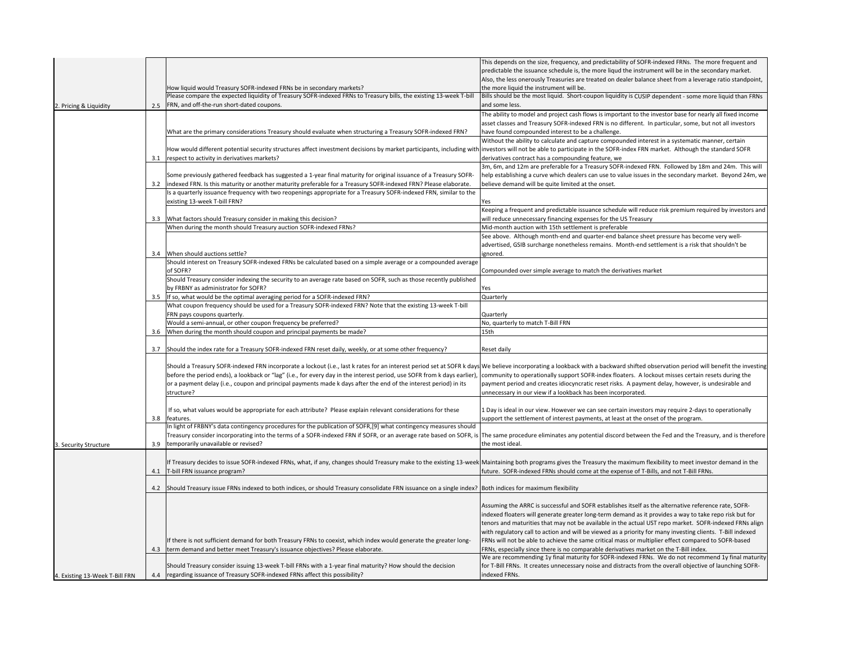|                                |     |                                                                                                                                                                                                                                | This depends on the size, frequency, and predictability of SOFR-indexed FRNs. The more frequent and                        |
|--------------------------------|-----|--------------------------------------------------------------------------------------------------------------------------------------------------------------------------------------------------------------------------------|----------------------------------------------------------------------------------------------------------------------------|
|                                |     |                                                                                                                                                                                                                                | predictable the issuance schedule is, the more liqud the instrument will be in the secondary market.                       |
|                                |     |                                                                                                                                                                                                                                | Also, the less onerously Treasuries are treated on dealer balance sheet from a leverage ratio standpoint,                  |
|                                |     | How liquid would Treasury SOFR-indexed FRNs be in secondary markets?                                                                                                                                                           | the more liquid the instrument will be.                                                                                    |
|                                |     | Please compare the expected liquidity of Treasury SOFR-indexed FRNs to Treasury bills, the existing 13-week T-bill                                                                                                             | Bills should be the most liquid. Short-coupon liquidity is CUSIP dependent - some more liquid than FRNs                    |
| 2. Pricing & Liquidity         | 2.5 | FRN, and off-the-run short-dated coupons.                                                                                                                                                                                      | and some less.                                                                                                             |
|                                |     |                                                                                                                                                                                                                                | The ability to model and project cash flows is important to the investor base for nearly all fixed income                  |
|                                |     |                                                                                                                                                                                                                                | asset classes and Treasury SOFR-indexed FRN is no different. In particular, some, but not all investors                    |
|                                |     | What are the primary considerations Treasury should evaluate when structuring a Treasury SOFR-indexed FRN?                                                                                                                     | have found compounded interest to be a challenge.                                                                          |
|                                |     |                                                                                                                                                                                                                                | Without the ability to calculate and capture compounded interest in a systematic manner, certain                           |
|                                |     | How would different potential security structures affect investment decisions by market participants, including with                                                                                                           | investors will not be able to participate in the SOFR-index FRN market. Although the standard SOFR                         |
|                                |     | 3.1 respect to activity in derivatives markets?                                                                                                                                                                                | derivatives contract has a compounding feature, we                                                                         |
|                                |     |                                                                                                                                                                                                                                | 3m, 6m, and 12m are preferable for a Treasury SOFR-indexed FRN. Followed by 18m and 24m. This will                         |
|                                |     | Some previously gathered feedback has suggested a 1-year final maturity for original issuance of a Treasury SOFR-                                                                                                              | help establishing a curve which dealers can use to value issues in the secondary market. Beyond 24m, we                    |
|                                |     | 3.2 indexed FRN. Is this maturity or another maturity preferable for a Treasury SOFR-indexed FRN? Please elaborate.                                                                                                            | believe demand will be quite limited at the onset.                                                                         |
|                                |     | Is a quarterly issuance frequency with two reopenings appropriate for a Treasury SOFR-indexed FRN, similar to the                                                                                                              |                                                                                                                            |
|                                |     |                                                                                                                                                                                                                                |                                                                                                                            |
|                                |     | existing 13-week T-bill FRN?                                                                                                                                                                                                   | Yes                                                                                                                        |
|                                |     |                                                                                                                                                                                                                                | Keeping a frequent and predictable issuance schedule will reduce risk premium required by investors and                    |
|                                | 3.3 | What factors should Treasury consider in making this decision?                                                                                                                                                                 | will reduce unnecessary financing expenses for the US Treasury                                                             |
|                                |     | When during the month should Treasury auction SOFR-indexed FRNs?                                                                                                                                                               | Mid-month auction with 15th settlement is preferable                                                                       |
|                                |     |                                                                                                                                                                                                                                | See above. Although month-end and quarter-end balance sheet pressure has become very well-                                 |
|                                |     |                                                                                                                                                                                                                                | advertised, GSIB surcharge nonetheless remains. Month-end settlement is a risk that shouldn't be                           |
|                                |     | 3.4 When should auctions settle?                                                                                                                                                                                               | ignored.                                                                                                                   |
|                                |     | Should interest on Treasury SOFR-indexed FRNs be calculated based on a simple average or a compounded average                                                                                                                  |                                                                                                                            |
|                                |     | of SOFR?                                                                                                                                                                                                                       | Compounded over simple average to match the derivatives market                                                             |
|                                |     | Should Treasury consider indexing the security to an average rate based on SOFR, such as those recently published                                                                                                              |                                                                                                                            |
|                                |     | by FRBNY as administrator for SOFR?                                                                                                                                                                                            | Yes                                                                                                                        |
|                                |     | 3.5 If so, what would be the optimal averaging period for a SOFR-indexed FRN?                                                                                                                                                  | Quarterly                                                                                                                  |
|                                |     | What coupon frequency should be used for a Treasury SOFR-indexed FRN? Note that the existing 13-week T-bill                                                                                                                    |                                                                                                                            |
|                                |     | FRN pays coupons quarterly.                                                                                                                                                                                                    | Quarterly                                                                                                                  |
|                                |     |                                                                                                                                                                                                                                |                                                                                                                            |
|                                |     |                                                                                                                                                                                                                                |                                                                                                                            |
|                                |     | Would a semi-annual, or other coupon frequency be preferred?                                                                                                                                                                   | No, quarterly to match T-Bill FRN                                                                                          |
|                                | 3.6 | When during the month should coupon and principal payments be made?                                                                                                                                                            | 15th                                                                                                                       |
|                                |     |                                                                                                                                                                                                                                |                                                                                                                            |
|                                | 3.7 | Should the index rate for a Treasury SOFR-indexed FRN reset daily, weekly, or at some other frequency?                                                                                                                         | Reset daily                                                                                                                |
|                                |     |                                                                                                                                                                                                                                |                                                                                                                            |
|                                |     | Should a Treasury SOFR-indexed FRN incorporate a lockout (i.e., last k rates for an interest period set at SOFR k days We believe incorporating a lookback with a backward shifted observation period will benefit the investi |                                                                                                                            |
|                                |     | before the period ends), a lookback or "lag" (i.e., for every day in the interest period, use SOFR from k days earlier),                                                                                                       | community to operationally support SOFR-index floaters. A lockout misses certain resets during the                         |
|                                |     | or a payment delay (i.e., coupon and principal payments made k days after the end of the interest period) in its                                                                                                               | payment period and creates idiocyncratic reset risks. A payment delay, however, is undesirable and                         |
|                                |     | structure?                                                                                                                                                                                                                     | unnecessary in our view if a lookback has been incorporated.                                                               |
|                                |     |                                                                                                                                                                                                                                |                                                                                                                            |
|                                |     | If so, what values would be appropriate for each attribute? Please explain relevant considerations for these                                                                                                                   | 1 Day is ideal in our view. However we can see certain investors may require 2-days to operationally                       |
|                                |     | 3.8 features.                                                                                                                                                                                                                  | support the settlement of interest payments, at least at the onset of the program.                                         |
|                                |     | In light of FRBNY's data contingency procedures for the publication of SOFR,[9] what contingency measures should                                                                                                               |                                                                                                                            |
|                                |     | Treasury consider incorporating into the terms of a SOFR-indexed FRN if SOFR, or an average rate based on SOFR, is The same procedure eliminates any potential discord between the Fed and the Treasury, and is therefore      |                                                                                                                            |
| 3. Security Structure          | 3.9 | temporarily unavailable or revised?                                                                                                                                                                                            | the most ideal.                                                                                                            |
|                                |     |                                                                                                                                                                                                                                |                                                                                                                            |
|                                |     | If Treasury decides to issue SOFR-indexed FRNs, what, if any, changes should Treasury make to the existing 13-week Maintaining both programs gives the Treasury the maximum flexibility to meet investor demand in the         |                                                                                                                            |
|                                |     | 4.1 T-bill FRN issuance program?                                                                                                                                                                                               | future. SOFR-indexed FRNs should come at the expense of T-Bills, and not T-Bill FRNs.                                      |
|                                |     |                                                                                                                                                                                                                                |                                                                                                                            |
|                                |     | 4.2 Should Treasury issue FRNs indexed to both indices, or should Treasury consolidate FRN issuance on a single index?                                                                                                         | Both indices for maximum flexibility                                                                                       |
|                                |     |                                                                                                                                                                                                                                |                                                                                                                            |
|                                |     |                                                                                                                                                                                                                                | Assuming the ARRC is successful and SOFR establishes itself as the alternative reference rate, SOFR-                       |
|                                |     |                                                                                                                                                                                                                                | indexed floaters will generate greater long-term demand as it provides a way to take repo risk but for                     |
|                                |     |                                                                                                                                                                                                                                | tenors and maturities that may not be available in the actual UST repo market. SOFR-indexed FRNs align                     |
|                                |     |                                                                                                                                                                                                                                |                                                                                                                            |
|                                |     |                                                                                                                                                                                                                                | with regulatory call to action and will be viewed as a priority for many investing clients. T-Bill indexed                 |
|                                |     | If there is not sufficient demand for both Treasury FRNs to coexist, which index would generate the greater long-                                                                                                              | FRNs will not be able to achieve the same critical mass or multiplier effect compared to SOFR-based                        |
|                                |     | 4.3 term demand and better meet Treasury's issuance objectives? Please elaborate.                                                                                                                                              | FRNs, especially since there is no comparable derivatives market on the T-Bill index.                                      |
|                                |     |                                                                                                                                                                                                                                | We are recommending 1y final maturity for SOFR-indexed FRNs. We do not recommend 1y final maturity                         |
| 4. Existing 13-Week T-Bill FRN |     | Should Treasury consider issuing 13-week T-bill FRNs with a 1-year final maturity? How should the decision<br>4.4 regarding issuance of Treasury SOFR-indexed FRNs affect this possibility?                                    | for T-Bill FRNs. It creates unnecessary noise and distracts from the overall objective of launching SOFR-<br>indexed FRNs. |